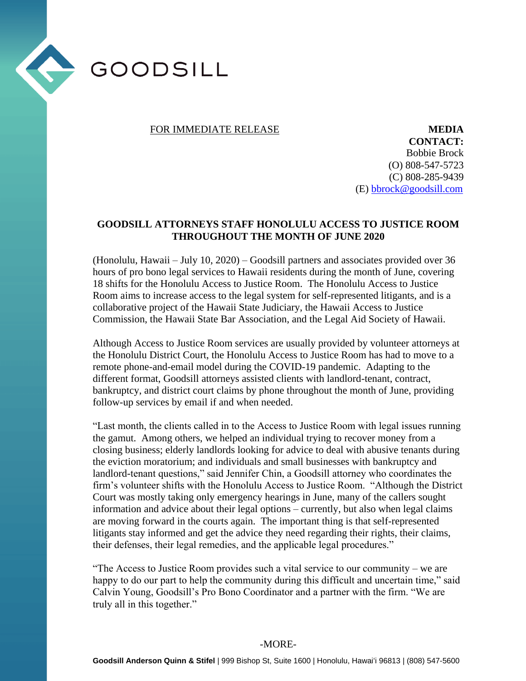

## FOR IMMEDIATE RELEASE **MEDIA**

**CONTACT:** Bobbie Brock (O) 808-547-5723 (C) 808-285-9439 (E) [bbrock@goodsill.com](mailto:bbrock@goodsill.com)

## **GOODSILL ATTORNEYS STAFF HONOLULU ACCESS TO JUSTICE ROOM THROUGHOUT THE MONTH OF JUNE 2020**

(Honolulu, Hawaii – July 10, 2020) – Goodsill partners and associates provided over 36 hours of pro bono legal services to Hawaii residents during the month of June, covering 18 shifts for the Honolulu Access to Justice Room. The Honolulu Access to Justice Room aims to increase access to the legal system for self-represented litigants, and is a collaborative project of the Hawaii State Judiciary, the Hawaii Access to Justice Commission, the Hawaii State Bar Association, and the Legal Aid Society of Hawaii.

Although Access to Justice Room services are usually provided by volunteer attorneys at the Honolulu District Court, the Honolulu Access to Justice Room has had to move to a remote phone-and-email model during the COVID-19 pandemic. Adapting to the different format, Goodsill attorneys assisted clients with landlord-tenant, contract, bankruptcy, and district court claims by phone throughout the month of June, providing follow-up services by email if and when needed.

"Last month, the clients called in to the Access to Justice Room with legal issues running the gamut. Among others, we helped an individual trying to recover money from a closing business; elderly landlords looking for advice to deal with abusive tenants during the eviction moratorium; and individuals and small businesses with bankruptcy and landlord-tenant questions," said Jennifer Chin, a Goodsill attorney who coordinates the firm's volunteer shifts with the Honolulu Access to Justice Room. "Although the District Court was mostly taking only emergency hearings in June, many of the callers sought information and advice about their legal options – currently, but also when legal claims are moving forward in the courts again. The important thing is that self-represented litigants stay informed and get the advice they need regarding their rights, their claims, their defenses, their legal remedies, and the applicable legal procedures."

"The Access to Justice Room provides such a vital service to our community – we are happy to do our part to help the community during this difficult and uncertain time," said Calvin Young, Goodsill's Pro Bono Coordinator and a partner with the firm. "We are truly all in this together."

## -MORE-